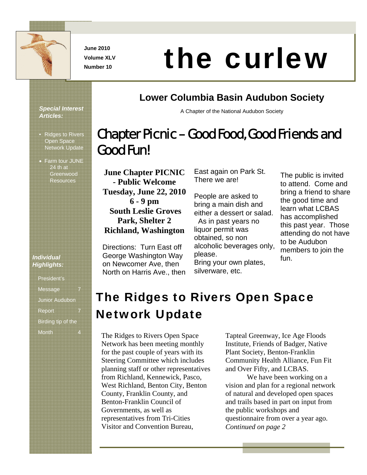

**June 2010 Volume XLV** 

# Number 10 **the curlew**

# **Lower Columbia Basin Audubon Society**

A Chapter of the National Audubon Society

# Chapter Picnic – Good Food, Good Friends and Good Fun!

**June Chapter PICNIC - Public Welcome Tuesday, June 22, 2010 6 - 9 pm South Leslie Groves Park, Shelter 2 Richland, Washington**

Directions: Turn East off George Washington Way on Newcomer Ave, then North on Harris Ave., then East again on Park St. There we are!

People are asked to bring a main dish and either a dessert or salad. As in past years no liquor permit was obtained, so non alcoholic beverages only, please. Bring your own plates, silverware, etc.

The public is invited to attend. Come and bring a friend to share the good time and learn what LCBAS has accomplished this past year. Those attending do not have to be Audubon members to join the fun.

# The Ridges to Rivers Open Space Network Update

The Ridges to Rivers Open Space Network has been meeting monthly for the past couple of years with its Steering Committee which includes planning staff or other representatives from Richland, Kennewick, Pasco, West Richland, Benton City, Benton County, Franklin County, and Benton-Franklin Council of Governments, as well as representatives from Tri-Cities Visitor and Convention Bureau,

Tapteal Greenway, Ice Age Floods Institute, Friends of Badger, Native Plant Society, Benton-Franklin Community Health Alliance, Fun Fit and Over Fifty, and LCBAS.

We have been working on a vision and plan for a regional network of natural and developed open spaces and trails based in part on input from the public workshops and questionnaire from over a year ago. *Continued on page 2* 

*Special Interest Articles:* 

- Ridges to Rivers Open Space Network Update
- Farm tour JUNE 24 th at Greenwood Resources

#### *Individual Highlights:*

| President's           |  |
|-----------------------|--|
| Message               |  |
| <b>Junior Audubon</b> |  |
| Report                |  |
| Birding tip of the    |  |
| Month                 |  |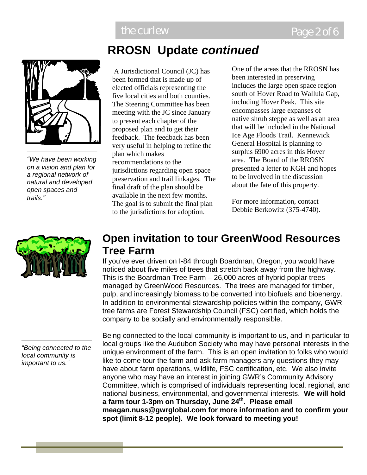

*"We have been working on a vision and plan for a regional network of natural and developed open spaces and trails."* 

#### *"Being connected to the local community is important to us."*

# **RROSN Update** *continued*

 A Jurisdictional Council (JC) has been formed that is made up of elected officials representing the five local cities and both counties. The Steering Committee has been meeting with the JC since January to present each chapter of the proposed plan and to get their feedback. The feedback has been very useful in helping to refine the plan which makes recommendations to the jurisdictions regarding open space preservation and trail linkages. The final draft of the plan should be available in the next few months. The goal is to submit the final plan to the jurisdictions for adoption.

One of the areas that the RROSN has been interested in preserving includes the large open space region south of Hover Road to Wallula Gap, including Hover Peak. This site encompasses large expanses of native shrub steppe as well as an area that will be included in the National Ice Age Floods Trail. Kennewick General Hospital is planning to surplus 6900 acres in this Hover area. The Board of the RROSN presented a letter to KGH and hopes to be involved in the discussion about the fate of this property.

For more information, contact Debbie Berkowitz (375-4740).

# **Open invitation to tour GreenWood Resources Tree Farm**

If you've ever driven on I-84 through Boardman, Oregon, you would have noticed about five miles of trees that stretch back away from the highway. This is the Boardman Tree Farm – 26,000 acres of hybrid poplar trees managed by GreenWood Resources. The trees are managed for timber, pulp, and increasingly biomass to be converted into biofuels and bioenergy. In addition to environmental stewardship policies within the company, GWR tree farms are Forest Stewardship Council (FSC) certified, which holds the company to be socially and environmentally responsible.

Being connected to the local community is important to us, and in particular to local groups like the Audubon Society who may have personal interests in the unique environment of the farm. This is an open invitation to folks who would like to come tour the farm and ask farm managers any questions they may have about farm operations, wildlife, FSC certification, etc. We also invite anyone who may have an interest in joining GWR's Community Advisory Committee, which is comprised of individuals representing local, regional, and national business, environmental, and governmental interests. **We will hold a farm tour 1-3pm on Thursday, June 24th. Please email meagan.nuss@gwrglobal.com for more information and to confirm your spot (limit 8-12 people). We look forward to meeting you!**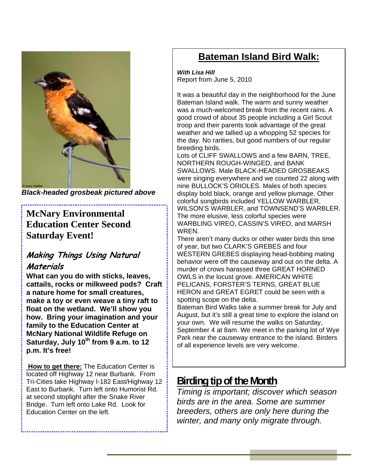

*Black-headed grosbeak pictured above* 

# **McNary Environmental Education Center Second Saturday Event!**

# **Making Things Using Natural**

### **Materials**

**What can you do with sticks, leaves, cattails, rocks or milkweed pods? Craft a nature home for small creatures, make a toy or even weave a tiny raft to float on the wetland. We'll show you how. Bring your imagination and your family to the Education Center at McNary National Wildlife Refuge on**  Saturday, July 10<sup>th</sup> from 9 a.m. to 12 **p.m. It's free!**

 **How to get there:** The Education Center is located off Highway 12 near Burbank. From Tri-Cities take Highway I-182 East/Highway 12 East to Burbank. Turn left onto Humorist Rd. at second stoplight after the Snake River Bridge. Turn left onto Lake Rd. Look for Education Center on the left.

# **Bateman Island Bird Walk:**

*With Lisa Hill*  Report from June 5, 2010

It was a beautiful day in the neighborhood for the June Bateman Island walk. The warm and sunny weather was a much-welcomed break from the recent rains. A good crowd of about 35 people including a Girl Scout troop and their parents took advantage of the great weather and we tallied up a whopping 52 species for the day. No rarities, but good numbers of our regular breeding birds.

Lots of CLIFF SWALLOWS and a few BARN, TREE, NORTHERN ROUGH-WINGED, and BANK SWALLOWS. Male BLACK-HEADED GROSBEAKS were singing everywhere and we counted 22 along with nine BULLOCK'S ORIOLES. Males of both species display bold black, orange and yellow plumage. Other colorful songbirds included YELLOW WARBLER, WILSON'S WARBLER, and TOWNSEND'S WARBLER. The more elusive, less colorful species were WARBLING VIREO, CASSIN'S VIREO, and MARSH WREN.

There aren't many ducks or other water birds this time of year, but two CLARK'S GREBES and four WESTERN GREBES displaying head-bobbing mating behavior were off the causeway and out on the delta. A murder of crows harassed three GREAT HORNED OWLS in the locust grove. AMERICAN WHITE PELICANS, FORSTER'S TERNS, GREAT BLUE HERON and GREAT EGRET could be seen with a spotting scope on the delta.

Bateman Bird Walks take a summer break for July and August, but it's still a great time to explore the island on your own. We will resume the walks on Saturday, September 4 at 8am. We meet in the parking lot of Wye Park near the causeway entrance to the island. Birders of all experience levels are very welcome.

# **Birding tip of the Month**

*Timing is important; discover which season birds are in the area. Some are summer breeders, others are only here during the winter, and many only migrate through.*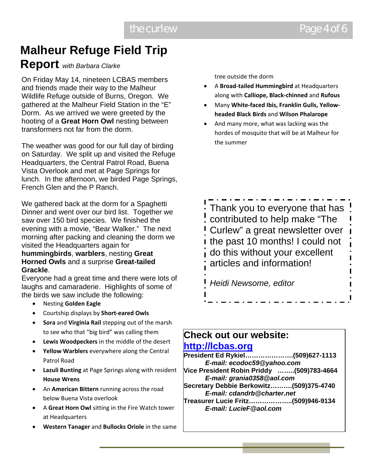# **Malheur Refuge Field Trip**

# **Report** *with Barbara Clarke*

On Friday May 14, nineteen LCBAS members and friends made their way to the Malheur Wildlife Refuge outside of Burns, Oregon. We gathered at the Malheur Field Station in the "E" Dorm. As we arrived we were greeted by the hooting of a **Great Horn Owl** nesting between transformers not far from the dorm.

The weather was good for our full day of birding on Saturday. We split up and visited the Refuge Headquarters, the Central Patrol Road, Buena Vista Overlook and met at Page Springs for lunch. In the afternoon, we birded Page Springs, French Glen and the P Ranch.

We gathered back at the dorm for a Spaghetti Dinner and went over our bird list. Together we saw over 150 bird species. We finished the evening with a movie, "Bear Walker." The next morning after packing and cleaning the dorm we visited the Headquarters again for

#### **hummingbirds**, **warblers**, nesting **Great Horned Owls** and a surprise **Great-tailed Grackle**.

Everyone had a great time and there were lots of laughs and camaraderie. Highlights of some of the birds we saw include the following:

- Nesting **Golden Eagle**
- Courtship displays by **Short‐eared Owls**
- **Sora** and **Virginia Rail** stepping out of the marsh to see who that "big bird" was calling them
- **Lewis Woodpeckers** in the middle of the desert
- **Yellow Warblers** everywhere along the Central Patrol Road
- **Lazuli Bunting** at Page Springs along with resident **House Wrens**
- An **American Bittern** running across the road below Buena Vista overlook
- A **Great Horn Owl** sitting in the Fire Watch tower at Headquarters
- **Western Tanager** and **Bullocks Oriole** in the same

tree outside the dorm

- A **Broad‐tailed Hummingbird** at Headquarters along with **Calliope, Black‐chinned** and **Rufous**
- Many **White‐faced Ibis, Franklin Gulls, Yellow‐ headed Black Birds** and **Wilson Phalarope**
- And many more, what was lacking was the hordes of mosquito that will be at Malheur for the summer



# **Check out our website:**

## **http://lcbas.org**

**President Ed Rykiel………………….(509)627-1113**  *E-mail: ecodoc59@yahoo.com*  **Vice President Robin Priddy ……..(509)783-4664** 

*E-mail: grania0358@aol.com* 

- **Secretary Debbie Berkowitz……….(509)375-4740**  *E-mail: cdandrb@charter.net*
- **Treasurer Lucie Fritz………………..(509)946-9134**  *E-mail: LucieF@aol.com*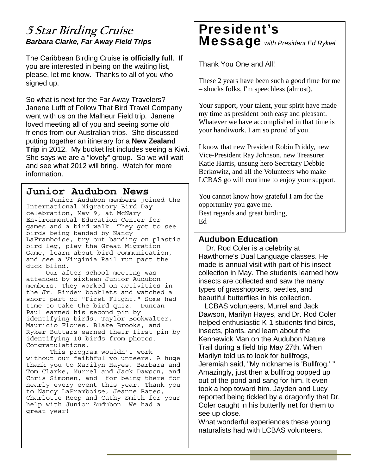# **5 Star Birding Cruise**  *Barbara Clarke, Far Away Field Trips*

The Caribbean Birding Cruise **is officially full**. If you are interested in being on the waiting list, please, let me know. Thanks to all of you who signed up.

So what is next for the Far Away Travelers? Janene Lufft of Follow That Bird Travel Company went with us on the Malheur Field trip. Janene loved meeting all of you and seeing some old friends from our Australian trips. She discussed putting together an itinerary for a **New Zealand Trip** in 2012. My bucket list includes seeing a Kiwi. She says we are a "lovely" group. So we will wait and see what 2012 will bring. Watch for more information.

### **Junior Audubon News**

 Junior Audubon members joined the International Migratory Bird Day celebration, May 9, at McNary Environmental Education Center for games and a bird walk. They got to see birds being banded by Nancy LaFramboise, try out banding on plastic bird leg, play the Great Migration Game, learn about bird communication, and see a Virginia Rail run past the duck blind.

 Our after school meeting was attended by sixteen Junior Audubon members. They worked on activities in the Jr. Birder booklets and watched a short part of "First Flight." Some had time to take the bird quiz. Duncan Paul earned his second pin by identifying birds. Taylor Bookwalter, Mauricio Flores, Blake Brooks, and Ryker Buttars earned their first pin by identifying 10 birds from photos. Congratulations.

 This program wouldn't work without our faithful volunteers. A huge thank you to Marilyn Hayes. Barbara and Tom Clarke, Murrel and Jack Dawson, and Chris Simonen, and for being there for nearly every event this year. Thank you to Nancy LaFramboise, Jeanne Bates, Charlotte Reep and Cathy Smith for your help with Junior Audubon. We had a great year!

# President's Message *with President Ed Rykiel*

Thank You One and All!

These 2 years have been such a good time for me – shucks folks, I'm speechless (almost).

Your support, your talent, your spirit have made my time as president both easy and pleasant. Whatever we have accomplished in that time is your handiwork. I am so proud of you.

I know that new President Robin Priddy, new Vice-President Ray Johnson, new Treasurer Katie Harris, unsung hero Secretary Debbie Berkowitz, and all the Volunteers who make LCBAS go will continue to enjoy your support.

You cannot know how grateful I am for the opportunity you gave me. Best regards and great birding, Ed

#### **Audubon Education**

 Dr. Rod Coler is a celebrity at Hawthorne's Dual Language classes. He made is annual visit with part of his insect collection in May. The students learned how insects are collected and saw the many types of grasshoppers, beetles, and beautiful butterflies in his collection.

 LCBAS volunteers, Murrel and Jack Dawson, Marilyn Hayes, and Dr. Rod Coler helped enthusiastic K-1 students find birds, insects, plants, and learn about the Kennewick Man on the Audubon Nature Trail during a field trip May 27th. When Marilyn told us to look for bullfrogs, Jeremiah said, "My nickname is 'Bullfrog.' " Amazingly, just then a bullfrog popped up out of the pond and sang for him. It even took a hop toward him. Jayden and Lucy reported being tickled by a dragonfly that Dr. Coler caught in his butterfly net for them to see up close.

What wonderful experiences these young naturalists had with LCBAS volunteers.